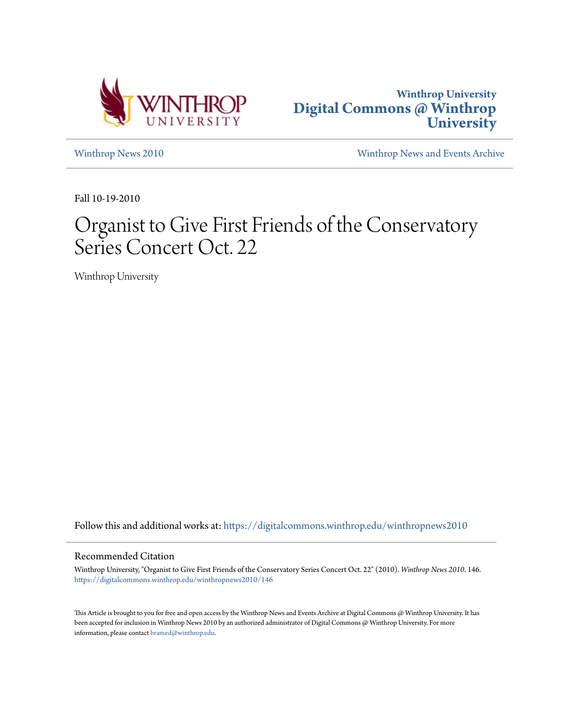



[Winthrop News 2010](https://digitalcommons.winthrop.edu/winthropnews2010?utm_source=digitalcommons.winthrop.edu%2Fwinthropnews2010%2F146&utm_medium=PDF&utm_campaign=PDFCoverPages) [Winthrop News and Events Archive](https://digitalcommons.winthrop.edu/winthropnewsarchives?utm_source=digitalcommons.winthrop.edu%2Fwinthropnews2010%2F146&utm_medium=PDF&utm_campaign=PDFCoverPages)

Fall 10-19-2010

## Organist to Give First Friends of the Conservatory Series Concert Oct. 22

Winthrop University

Follow this and additional works at: [https://digitalcommons.winthrop.edu/winthropnews2010](https://digitalcommons.winthrop.edu/winthropnews2010?utm_source=digitalcommons.winthrop.edu%2Fwinthropnews2010%2F146&utm_medium=PDF&utm_campaign=PDFCoverPages)

## Recommended Citation

Winthrop University, "Organist to Give First Friends of the Conservatory Series Concert Oct. 22" (2010). *Winthrop News 2010*. 146. [https://digitalcommons.winthrop.edu/winthropnews2010/146](https://digitalcommons.winthrop.edu/winthropnews2010/146?utm_source=digitalcommons.winthrop.edu%2Fwinthropnews2010%2F146&utm_medium=PDF&utm_campaign=PDFCoverPages)

This Article is brought to you for free and open access by the Winthrop News and Events Archive at Digital Commons @ Winthrop University. It has been accepted for inclusion in Winthrop News 2010 by an authorized administrator of Digital Commons @ Winthrop University. For more information, please contact [bramed@winthrop.edu](mailto:bramed@winthrop.edu).